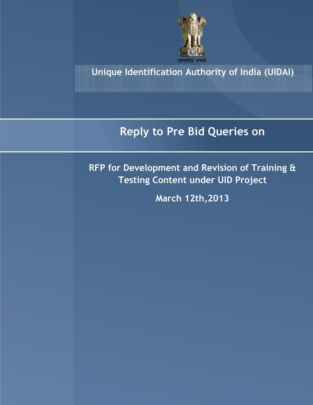

**Unique Identification Authority of India (UIDAI)**

## **Reply to Pre Bid Queries on**

**RFP for Development and Revision of Training & Testing Content under UID Project** 

**March 12th,2013**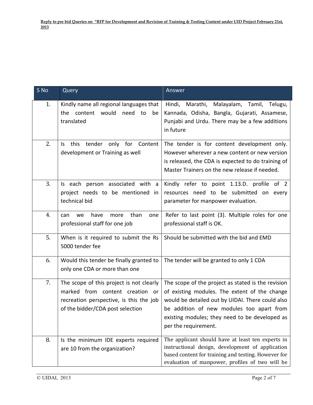| S No | Query                                                                                                                                                      | Answer                                                                                                                                                                                                                                                                         |
|------|------------------------------------------------------------------------------------------------------------------------------------------------------------|--------------------------------------------------------------------------------------------------------------------------------------------------------------------------------------------------------------------------------------------------------------------------------|
| 1.   | Kindly name all regional languages that<br>content would<br>need<br>the<br>to<br>be<br>translated                                                          | Malayalam, Tamil, Telugu,<br>Hindi,<br>Marathi,<br>Kannada, Odisha, Bangla, Gujarati, Assamese,<br>Punjabi and Urdu. There may be a few additions<br>in future                                                                                                                 |
| 2.   | this<br>tender only for Content<br>ls.<br>development or Training as well                                                                                  | The tender is for content development only.<br>However wherever a new content or new version<br>is released, the CDA is expected to do training of<br>Master Trainers on the new release if needed.                                                                            |
| 3.   | Is each person associated with a<br>project needs to be mentioned in<br>technical bid                                                                      | Kindly refer to point 1.13.D. profile of 2<br>resources need to be submitted on every<br>parameter for manpower evaluation.                                                                                                                                                    |
| 4.   | than<br>have<br>more<br>can<br>we<br>one<br>professional staff for one job                                                                                 | Refer to last point (3). Multiple roles for one<br>professional staff is OK.                                                                                                                                                                                                   |
| 5.   | When is it required to submit the Rs<br>5000 tender fee                                                                                                    | Should be submitted with the bid and EMD                                                                                                                                                                                                                                       |
| 6.   | Would this tender be finally granted to<br>only one CDA or more than one                                                                                   | The tender will be granted to only 1 CDA                                                                                                                                                                                                                                       |
| 7.   | The scope of this project is not clearly<br>marked from content creation or<br>recreation perspective, is this the job<br>of the bidder/CDA post selection | The scope of the project as stated is the revision<br>of existing modules. The extent of the change<br>would be detailed out by UIDAI. There could also<br>be addition of new modules too apart from<br>existing modules; they need to be developed as<br>per the requirement. |
| 8.   | Is the minimum IDE experts required<br>are 10 from the organization?                                                                                       | The applicant should have at least ten experts in<br>instructional design, development of application<br>based content for training and testing. However for<br>evaluation of manpower, profiles of two will be                                                                |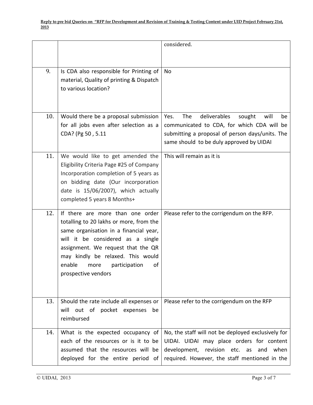|     |                                                                                                                                                                                                                                                                                                       | considered.                                                                                                                                                                                      |
|-----|-------------------------------------------------------------------------------------------------------------------------------------------------------------------------------------------------------------------------------------------------------------------------------------------------------|--------------------------------------------------------------------------------------------------------------------------------------------------------------------------------------------------|
| 9.  | Is CDA also responsible for Printing of<br>material, Quality of printing & Dispatch<br>to various location?                                                                                                                                                                                           | No                                                                                                                                                                                               |
| 10. | Would there be a proposal submission<br>for all jobs even after selection as a<br>CDA? (Pg 50, 5.11                                                                                                                                                                                                   | The<br>deliverables<br>will<br>Yes.<br>sought<br>be<br>communicated to CDA, for which CDA will be<br>submitting a proposal of person days/units. The<br>same should to be duly approved by UIDAI |
| 11. | We would like to get amended the<br>Eligibility Criteria Page #25 of Company<br>Incorporation completion of 5 years as<br>on bidding date (Our incorporation<br>date is 15/06/2007), which actually<br>completed 5 years 8 Months+                                                                    | This will remain as it is                                                                                                                                                                        |
| 12. | If there are more than one order<br>totalling to 20 lakhs or more, from the<br>same organisation in a financial year,<br>will it be considered as a single<br>assignment. We request that the QR<br>may kindly be relaxed. This would<br>enable<br>participation<br>οf<br>more<br>prospective vendors | Please refer to the corrigendum on the RFP.                                                                                                                                                      |
| 13. | Should the rate include all expenses or<br>will out of pocket expenses<br>be<br>reimbursed                                                                                                                                                                                                            | Please refer to the corrigendum on the RFP                                                                                                                                                       |
| 14. | What is the expected occupancy of<br>each of the resources or is it to be<br>assumed that the resources will be<br>deployed for the entire period of                                                                                                                                                  | No, the staff will not be deployed exclusively for<br>UIDAI. UIDAI may place orders for content<br>development, revision etc. as<br>when<br>and<br>required. However, the staff mentioned in the |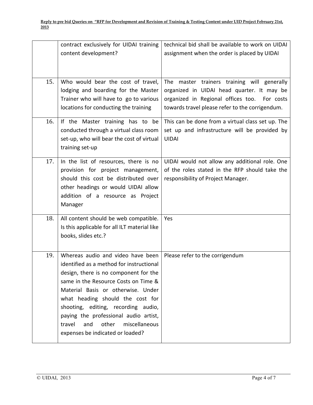|     | contract exclusively for UIDAI training<br>content development?                                                                                                                                                                                                                                                                                                                                         | technical bid shall be available to work on UIDAI<br>assignment when the order is placed by UIDAI                                                                                            |
|-----|---------------------------------------------------------------------------------------------------------------------------------------------------------------------------------------------------------------------------------------------------------------------------------------------------------------------------------------------------------------------------------------------------------|----------------------------------------------------------------------------------------------------------------------------------------------------------------------------------------------|
| 15. | Who would bear the cost of travel,<br>lodging and boarding for the Master<br>Trainer who will have to go to various<br>locations for conducting the training                                                                                                                                                                                                                                            | The master trainers training will generally<br>organized in UIDAI head quarter. It may be<br>organized in Regional offices too. For costs<br>towards travel please refer to the corrigendum. |
| 16. | If the Master training has to be<br>conducted through a virtual class room<br>set-up, who will bear the cost of virtual<br>training set-up                                                                                                                                                                                                                                                              | This can be done from a virtual class set up. The<br>set up and infrastructure will be provided by<br><b>UIDAI</b>                                                                           |
| 17. | In the list of resources, there is no<br>provision for project management,<br>should this cost be distributed over<br>other headings or would UIDAI allow<br>addition of a resource as Project<br>Manager                                                                                                                                                                                               | UIDAI would not allow any additional role. One<br>of the roles stated in the RFP should take the<br>responsibility of Project Manager.                                                       |
| 18. | All content should be web compatible.<br>Is this applicable for all ILT material like<br>books, slides etc.?                                                                                                                                                                                                                                                                                            | Yes                                                                                                                                                                                          |
| 19. | Whereas audio and video have been<br>identified as a method for instructional<br>design, there is no component for the<br>same in the Resource Costs on Time &<br>Material Basis or otherwise. Under<br>what heading should the cost for<br>shooting, editing, recording audio,<br>paying the professional audio artist,<br>other<br>and<br>miscellaneous<br>travel<br>expenses be indicated or loaded? | Please refer to the corrigendum                                                                                                                                                              |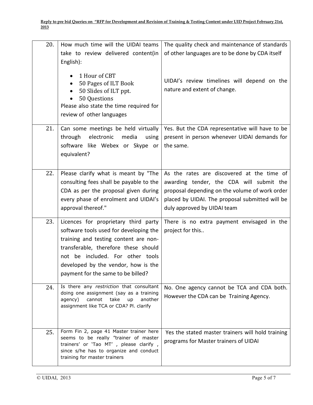| 20. | How much time will the UIDAI teams<br>take to review delivered content(in<br>English):                                                                                                                                                                                           | The quality check and maintenance of standards<br>of other languages are to be done by CDA itself                                                                                                                          |
|-----|----------------------------------------------------------------------------------------------------------------------------------------------------------------------------------------------------------------------------------------------------------------------------------|----------------------------------------------------------------------------------------------------------------------------------------------------------------------------------------------------------------------------|
|     | 1 Hour of CBT<br>50 Pages of ILT Book<br>50 Slides of ILT ppt.<br>50 Questions<br>Please also state the time required for<br>review of other languages                                                                                                                           | UIDAI's review timelines will depend on the<br>nature and extent of change.                                                                                                                                                |
| 21. | Can some meetings be held virtually<br>electronic<br>media<br>through<br>using<br>software like Webex or Skype or<br>equivalent?                                                                                                                                                 | Yes. But the CDA representative will have to be<br>present in person whenever UIDAI demands for<br>the same.                                                                                                               |
| 22. | Please clarify what is meant by "The<br>consulting fees shall be payable to the<br>CDA as per the proposal given during<br>every phase of enrolment and UIDAI's<br>approval thereof."                                                                                            | As the rates are discovered at the time of<br>awarding tender, the CDA will submit the<br>proposal depending on the volume of work order<br>placed by UIDAI. The proposal submitted will be<br>duly approved by UIDAI team |
| 23. | Licences for proprietary third party<br>software tools used for developing the<br>training and testing content are non-<br>transferable, therefore these should<br>not be included. For other tools<br>developed by the vendor, how is the<br>payment for the same to be billed? | There is no extra payment envisaged in the<br>project for this                                                                                                                                                             |
| 24. | Is there any restriction that consultant<br>doing one assignment (say as a training<br>cannot<br>take<br>agency)<br>up<br>another<br>assignment like TCA or CDA? Pl. clarify                                                                                                     | No. One agency cannot be TCA and CDA both.<br>However the CDA can be Training Agency.                                                                                                                                      |
| 25. | Form Fin 2, page 41 Master trainer here<br>seems to be really "trainer of master<br>trainers' or 'Tao MT' , please clarify ,<br>since s/he has to organize and conduct<br>training for master trainers                                                                           | Yes the stated master trainers will hold training<br>programs for Master trainers of UIDAI                                                                                                                                 |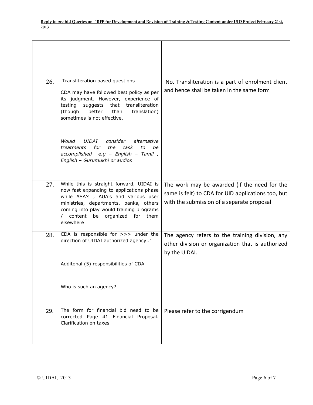| 26. | Transliteration based questions<br>CDA may have followed best policy as per<br>its judgment. However, experience of<br>testing<br>suggests<br>that<br>transliteration<br>better<br>(though<br>than<br>translation)<br>sometimes is not effective.                            | No. Transliteration is a part of enrolment client<br>and hence shall be taken in the same form                                                   |
|-----|------------------------------------------------------------------------------------------------------------------------------------------------------------------------------------------------------------------------------------------------------------------------------|--------------------------------------------------------------------------------------------------------------------------------------------------|
|     | Would<br>UIDAI<br>consider<br>alternative<br>for<br>the<br>task<br>treatments<br>to<br>he<br>accomplished e.g - English - Tamil,<br>English - Gurumukhi or audios                                                                                                            |                                                                                                                                                  |
| 27. | While this is straight forward, UIDAI is<br>now fast expanding to applications phase<br>while ASA's , AUA's and various user<br>ministries, departments, banks, others<br>coming into play would training programs<br>content<br>organized<br>for<br>them<br>be<br>elsewhere | The work may be awarded (if the need for the<br>same is felt) to CDA for UID applications too, but<br>with the submission of a separate proposal |
| 28. | CDA is responsible for >>> under the<br>direction of UIDAI authorized agency'                                                                                                                                                                                                | The agency refers to the training division, any<br>other division or organization that is authorized<br>by the UIDAI.                            |
|     | Additonal (5) responsibilities of CDA                                                                                                                                                                                                                                        |                                                                                                                                                  |
|     | Who is such an agency?                                                                                                                                                                                                                                                       |                                                                                                                                                  |
| 29. | The form for financial bid need to be<br>corrected Page 41 Financial Proposal.<br>Clarification on taxes                                                                                                                                                                     | Please refer to the corrigendum                                                                                                                  |